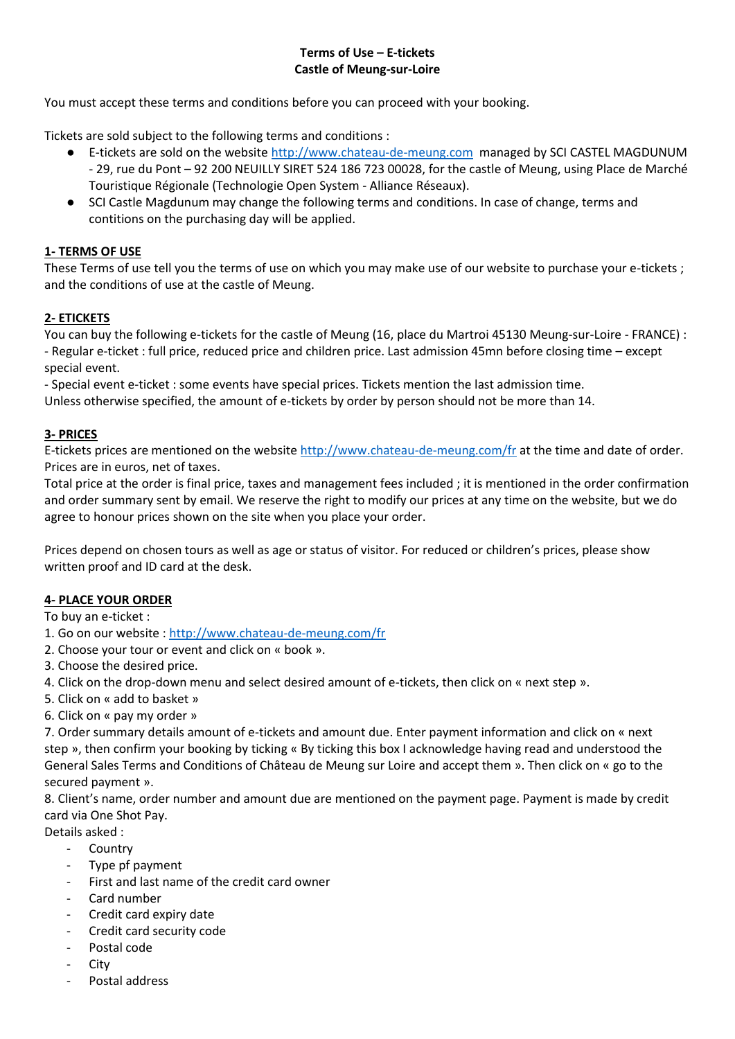# **Terms of Use – E-tickets Castle of Meung-sur-Loire**

You must accept these terms and conditions before you can proceed with your booking.

Tickets are sold subject to the following terms and conditions :

- E-tickets are sold on the websit[e http://www.chateau-de-meung.com](http://www.chateau-de-meung.com/) managed by SCI CASTEL MAGDUNUM - 29, rue du Pont – 92 200 NEUILLY SIRET 524 186 723 00028, for the castle of Meung, using Place de Marché Touristique Régionale (Technologie Open System - Alliance Réseaux).
- SCI Castle Magdunum may change the following terms and conditions. In case of change, terms and contitions on the purchasing day will be applied.

# **1- TERMS OF USE**

These Terms of use tell you the terms of use on which you may make use of our website to purchase your e-tickets ; and the conditions of use at the castle of Meung.

# **2- ETICKETS**

You can buy the following e-tickets for the castle of Meung (16, place du Martroi 45130 Meung-sur-Loire - FRANCE) : - Regular e-ticket : full price, reduced price and children price. Last admission 45mn before closing time – except special event.

- Special event e-ticket : some events have special prices. Tickets mention the last admission time.

Unless otherwise specified, the amount of e-tickets by order by person should not be more than 14.

## **3- PRICES**

E-tickets prices are mentioned on the website <http://www.chateau-de-meung.com/fr> at the time and date of order. Prices are in euros, net of taxes.

Total price at the order is final price, taxes and management fees included ; it is mentioned in the order confirmation and order summary sent by email. We reserve the right to modify our prices at any time on the website, but we do agree to honour prices shown on the site when you place your order.

Prices depend on chosen tours as well as age or status of visitor. For reduced or children's prices, please show written proof and ID card at the desk.

### **4- PLACE YOUR ORDER**

To buy an e-ticket :

1. Go on our website :<http://www.chateau-de-meung.com/fr>

- 2. Choose your tour or event and click on « book ».
- 3. Choose the desired price.
- 4. Click on the drop-down menu and select desired amount of e-tickets, then click on « next step ».
- 5. Click on « add to basket »
- 6. Click on « pay my order »

7. Order summary details amount of e-tickets and amount due. Enter payment information and click on « next step », then confirm your booking by ticking « By ticking this box I acknowledge having read and understood the General Sales Terms and Conditions of Château de Meung sur Loire and accept them ». Then click on « go to the secured payment ».

8. Client's name, order number and amount due are mentioned on the payment page. Payment is made by credit card via One Shot Pay.

Details asked :

- Country
- Type pf payment
- First and last name of the credit card owner
- Card number
- Credit card expiry date
- Credit card security code
- Postal code
- **City**
- Postal address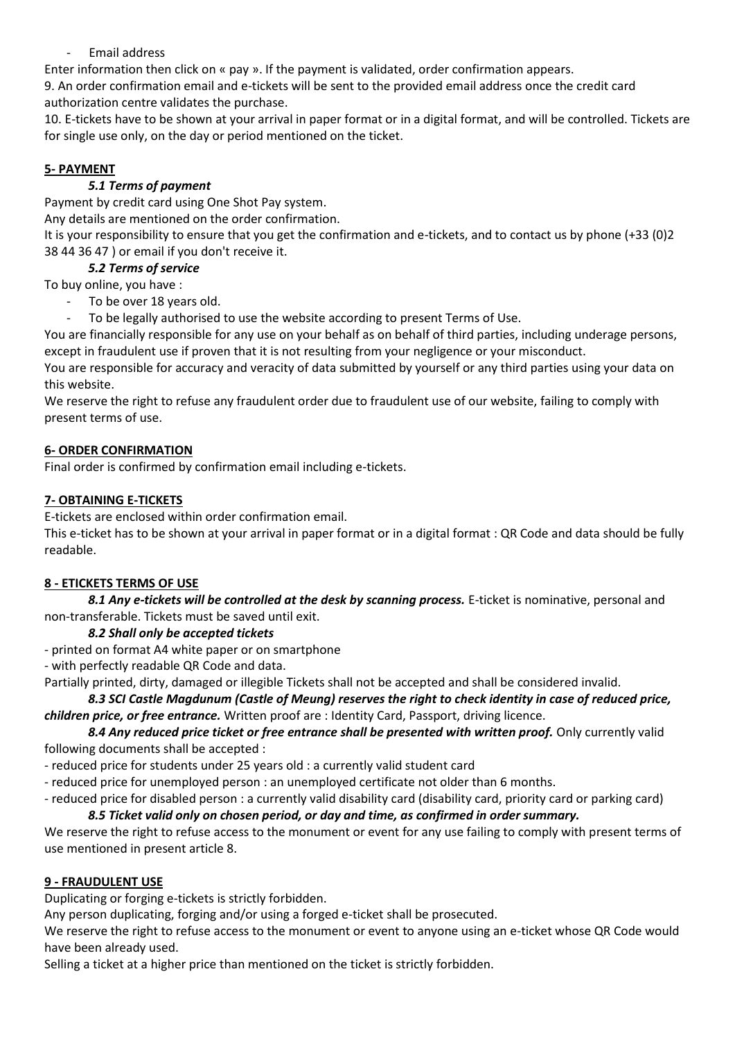- Email address

Enter information then click on « pay ». If the payment is validated, order confirmation appears.

9. An order confirmation email and e-tickets will be sent to the provided email address once the credit card authorization centre validates the purchase.

10. E-tickets have to be shown at your arrival in paper format or in a digital format, and will be controlled. Tickets are for single use only, on the day or period mentioned on the ticket.

# **5- PAYMENT**

# *5.1 Terms of payment*

Payment by credit card using One Shot Pay system.

Any details are mentioned on the order confirmation.

It is your responsibility to ensure that you get the confirmation and e-tickets, and to contact us by phone (+33 (0)2 38 44 36 47 ) or email if you don't receive it.

# *5.2 Terms of service*

To buy online, you have :

- To be over 18 years old.
- To be legally authorised to use the website according to present Terms of Use.

You are financially responsible for any use on your behalf as on behalf of third parties, including underage persons, except in fraudulent use if proven that it is not resulting from your negligence or your misconduct.

You are responsible for accuracy and veracity of data submitted by yourself or any third parties using your data on this website.

We reserve the right to refuse any fraudulent order due to fraudulent use of our website, failing to comply with present terms of use.

# **6- ORDER CONFIRMATION**

Final order is confirmed by confirmation email including e-tickets.

# **7- OBTAINING E-TICKETS**

E-tickets are enclosed within order confirmation email.

This e-ticket has to be shown at your arrival in paper format or in a digital format : QR Code and data should be fully readable.

# **8 - ETICKETS TERMS OF USE**

8.1 Any e-tickets will be controlled at the desk by scanning process. E-ticket is nominative, personal and non-transferable. Tickets must be saved until exit.

# *8.2 Shall only be accepted tickets*

- printed on format A4 white paper or on smartphone

- with perfectly readable QR Code and data.

Partially printed, dirty, damaged or illegible Tickets shall not be accepted and shall be considered invalid.

*8.3 SCI Castle Magdunum (Castle of Meung) reserves the right to check identity in case of reduced price, children price, or free entrance.* Written proof are : Identity Card, Passport, driving licence.

*8.4 Any reduced price ticket or free entrance shall be presented with written proof.* Only currently valid following documents shall be accepted :

- reduced price for students under 25 years old : a currently valid student card
- reduced price for unemployed person : an unemployed certificate not older than 6 months.
- reduced price for disabled person : a currently valid disability card (disability card, priority card or parking card)

# *8.5 Ticket valid only on chosen period, or day and time, as confirmed in order summary.*

We reserve the right to refuse access to the monument or event for any use failing to comply with present terms of use mentioned in present article 8.

### **9 - FRAUDULENT USE**

Duplicating or forging e-tickets is strictly forbidden.

Any person duplicating, forging and/or using a forged e-ticket shall be prosecuted.

We reserve the right to refuse access to the monument or event to anyone using an e-ticket whose QR Code would have been already used.

Selling a ticket at a higher price than mentioned on the ticket is strictly forbidden.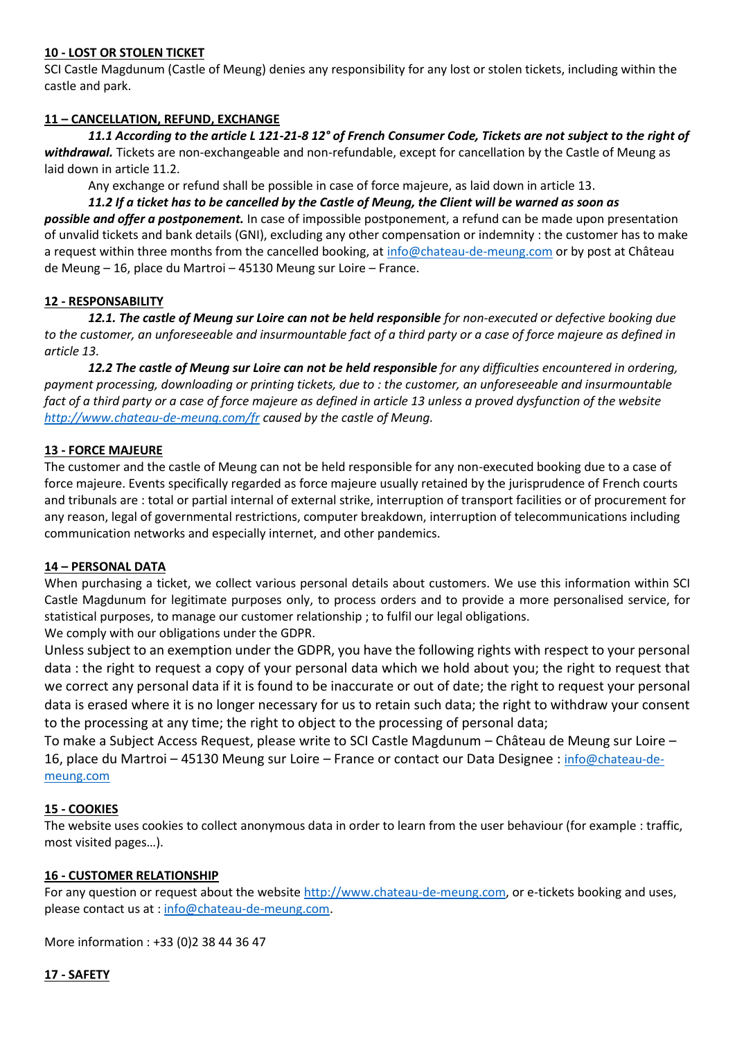## **10 - LOST OR STOLEN TICKET**

SCI Castle Magdunum (Castle of Meung) denies any responsibility for any lost or stolen tickets, including within the castle and park.

## **11 – CANCELLATION, REFUND, EXCHANGE**

de Meung – 16, place du Martroi – 45130 Meung sur Loire – France.

*11.1 According to the article L 121-21-8 12° of French Consumer Code, Tickets are not subject to the right of withdrawal.* Tickets are non-exchangeable and non-refundable, except for cancellation by the Castle of Meung as laid down in article 11.2.

Any exchange or refund shall be possible in case of force majeure, as laid down in article 13.

*11.2 If a ticket has to be cancelled by the Castle of Meung, the Client will be warned as soon as possible and offer a postponement.* In case of impossible postponement, a refund can be made upon presentation of unvalid tickets and bank details (GNI), excluding any other compensation or indemnity : the customer has to make a request within three months from the cancelled booking, at [info@chateau-de-meung.com](mailto:info@chateau-de-meung.com) or by post at Château

# **12 - RESPONSABILITY**

*12.1. The castle of Meung sur Loire can not be held responsible for non-executed or defective booking due to the customer, an unforeseeable and insurmountable fact of a third party or a case of force majeure as defined in article 13.*

*12.2 The castle of Meung sur Loire can not be held responsible for any difficulties encountered in ordering, payment processing, downloading or printing tickets, due to : the customer, an unforeseeable and insurmountable fact of a third party or a case of force majeure as defined in article 13 unless a proved dysfunction of the website <http://www.chateau-de-meung.com/fr> caused by the castle of Meung.*

### **13 - FORCE MAJEURE**

The customer and the castle of Meung can not be held responsible for any non-executed booking due to a case of force majeure. Events specifically regarded as force majeure usually retained by the jurisprudence of French courts and tribunals are : total or partial internal of external strike, interruption of transport facilities or of procurement for any reason, legal of governmental restrictions, computer breakdown, interruption of telecommunications including communication networks and especially internet, and other pandemics.

### **14 – PERSONAL DATA**

When purchasing a ticket, we collect various personal details about customers. We use this information within SCI Castle Magdunum for legitimate purposes only, to process orders and to provide a more personalised service, for statistical purposes, to manage our customer relationship ; to fulfil our legal obligations.

We comply with our obligations under the GDPR.

Unless subject to an exemption under the GDPR, you have the following rights with respect to your personal data : the right to request a copy of your personal data which we hold about you; the right to request that we correct any personal data if it is found to be inaccurate or out of date; the right to request your personal data is erased where it is no longer necessary for us to retain such data; the right to withdraw your consent to the processing at any time; the right to object to the processing of personal data;

To make a Subject Access Request, please write to SCI Castle Magdunum – Château de Meung sur Loire – 16, place du Martroi – 45130 Meung sur Loire – France or contact our Data Designee : [info@chateau-de](mailto:info@chateau-de-meung.com)[meung.com](mailto:info@chateau-de-meung.com)

### **15 - COOKIES**

The website uses cookies to collect anonymous data in order to learn from the user behaviour (for example : traffic, most visited pages…).

# **16 - CUSTOMER RELATIONSHIP**

For any question or request about the website [http://www.chateau-de-meung.com,](http://www.chateau-de-meung.com/) or e-tickets booking and uses, please contact us at [: info@chateau-de-meung.com.](mailto:info@chateau-de-meung.com)

More information : +33 (0)2 38 44 36 47

### **17 - SAFETY**